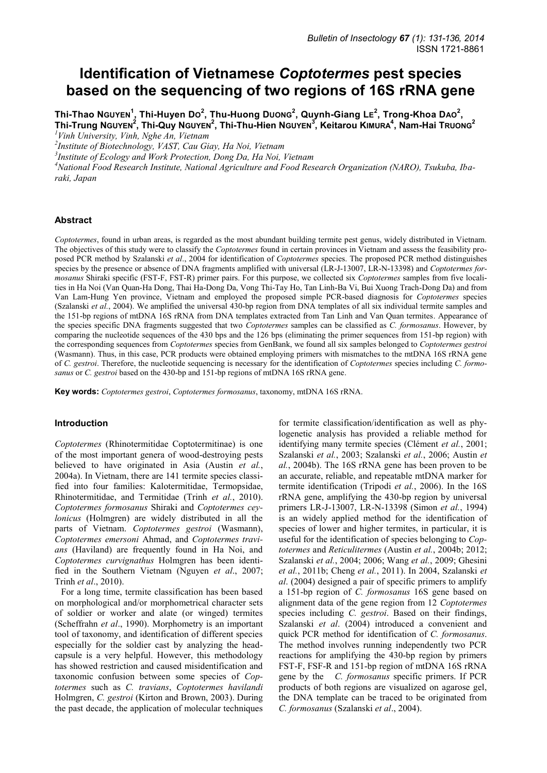# **Identification of Vietnamese** *Coptotermes* **pest species based on the sequencing of two regions of 16S rRNA gene**

**Thi-Thao NGUYEN<sup>1</sup> , Thi-Huyen DO 2 , Thu-Huong DUONG<sup>2</sup> , Quynh-Giang LE 2 , Trong-Khoa DAO<sup>2</sup> , Thi-Trung NGUYEN<sup>2</sup> , Thi-Quy NGUYEN<sup>2</sup> , Thi-Thu-Hien NGUYEN<sup>3</sup> , Keitarou KIMURA<sup>4</sup> , Nam-Hai TRUONG<sup>2</sup>** *<sup>1</sup>Vinh University, Vinh, Nghe An, Vietnam* 

*2 Institute of Biotechnology, VAST, Cau Giay, Ha Noi, Vietnam* 

*3 Institute of Ecology and Work Protection, Dong Da, Ha Noi, Vietnam* 

*<sup>4</sup>National Food Research Institute, National Agriculture and Food Research Organization (NARO), Tsukuba, Ibaraki, Japan*

### **Abstract**

*Coptotermes*, found in urban areas, is regarded as the most abundant building termite pest genus, widely distributed in Vietnam. The objectives of this study were to classify the *Coptotermes* found in certain provinces in Vietnam and assess the feasibility proposed PCR method by Szalanski *et al*., 2004 for identification of *Coptotermes* species. The proposed PCR method distinguishes species by the presence or absence of DNA fragments amplified with universal (LR-J-13007, LR-N-13398) and *Coptotermes formosanus* Shiraki specific (FST-F, FST-R) primer pairs. For this purpose, we collected six *Coptotermes* samples from five localities in Ha Noi (Van Quan-Ha Dong, Thai Ha-Dong Da, Vong Thi-Tay Ho, Tan Linh-Ba Vi, Bui Xuong Trach-Dong Da) and from Van Lam-Hung Yen province, Vietnam and employed the proposed simple PCR-based diagnosis for *Coptotermes* species (Szalanski *et al.*, 2004). We amplified the universal 430-bp region from DNA templates of all six individual termite samples and the 151-bp regions of mtDNA 16S rRNA from DNA templates extracted from Tan Linh and Van Quan termites. Appearance of the species specific DNA fragments suggested that two *Coptotermes* samples can be classified as *C. formosanus*. However, by comparing the nucleotide sequences of the 430 bps and the 126 bps (eliminating the primer sequences from 151-bp region) with the corresponding sequences from *Coptotermes* species from GenBank, we found all six samples belonged to *Coptotermes gestroi* (Wasmann). Thus, in this case, PCR products were obtained employing primers with mismatches to the mtDNA 16S rRNA gene of *C. gestroi*. Therefore, the nucleotide sequencing is necessary for the identification of *Coptotermes* species including *C. formosanus* or *C. gestroi* based on the 430-bp and 151-bp regions of mtDNA 16S rRNA gene.

**Key words:** *Coptotermes gestroi*, *Coptotermes formosanus*, taxonomy, mtDNA 16S rRNA.

#### **Introduction**

*Coptotermes* (Rhinotermitidae Coptotermitinae) is one of the most important genera of wood-destroying pests believed to have originated in Asia (Austin *et al.*, 2004a). In Vietnam, there are 141 termite species classified into four families: Kalotermitidae, Termopsidae, Rhinotermitidae, and Termitidae (Trinh *et al.*, 2010). *Coptotermes formosanus* Shiraki and *Coptotermes ceylonicus* (Holmgren) are widely distributed in all the parts of Vietnam. *Coptotermes gestroi* (Wasmann), *Coptotermes emersoni* Ahmad, and *Coptotermes travians* (Haviland) are frequently found in Ha Noi, and *Coptotermes curvignathus* Holmgren has been identified in the Southern Vietnam (Nguyen *et al*., 2007; Trinh *et al*., 2010).

For a long time, termite classification has been based on morphological and/or morphometrical character sets of soldier or worker and alate (or winged) termites (Scheffrahn *et al*., 1990). Morphometry is an important tool of taxonomy, and identification of different species especially for the soldier cast by analyzing the headcapsule is a very helpful. However, this methodology has showed restriction and caused misidentification and taxonomic confusion between some species of *Coptotermes* such as *C. travians*, *Coptotermes havilandi* Holmgren, *C. gestroi* (Kirton and Brown, 2003). During the past decade, the application of molecular techniques

for termite classification/identification as well as phylogenetic analysis has provided a reliable method for identifying many termite species (Clément *et al.*, 2001; Szalanski *et al.*, 2003; Szalanski *et al.*, 2006; Austin *et al.*, 2004b). The 16S rRNA gene has been proven to be an accurate, reliable, and repeatable mtDNA marker for termite identification (Tripodi *et al.*, 2006). In the 16S rRNA gene, amplifying the 430-bp region by universal primers LR-J-13007, LR-N-13398 (Simon *et al.*, 1994) is an widely applied method for the identification of species of lower and higher termites, in particular, it is useful for the identification of species belonging to *Coptotermes* and *Reticulitermes* (Austin *et al.*, 2004b; 2012; Szalanski *et al.*, 2004; 2006; Wang *et al.*, 2009; Ghesini *et al.*, 2011b; Cheng *et al.*, 2011). In 2004, Szalanski *et al*. (2004) designed a pair of specific primers to amplify a 151-bp region of *C. formosanus* 16S gene based on alignment data of the gene region from 12 *Coptotermes* species including *C. gestroi*. Based on their findings, Szalanski *et al*. (2004) introduced a convenient and quick PCR method for identification of *C. formosanus*. The method involves running independently two PCR reactions for amplifying the 430-bp region by primers FST-F, FSF-R and 151-bp region of mtDNA 16S rRNA gene by the *C. formosanus* specific primers. If PCR products of both regions are visualized on agarose gel, the DNA template can be traced to be originated from *C. formosanus* (Szalanski *et al*., 2004).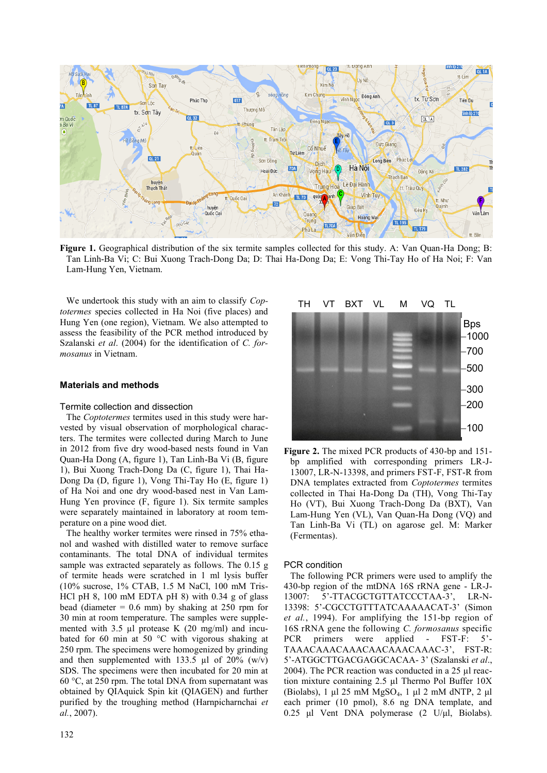

**Figure 1.** Geographical distribution of the six termite samples collected for this study. A: Van Quan-Ha Dong; B: Tan Linh-Ba Vi; C: Bui Xuong Trach-Dong Da; D: Thai Ha-Dong Da; E: Vong Thi-Tay Ho of Ha Noi; F: Van Lam-Hung Yen, Vietnam.

We undertook this study with an aim to classify *Coptotermes* species collected in Ha Noi (five places) and Hung Yen (one region), Vietnam. We also attempted to assess the feasibility of the PCR method introduced by Szalanski *et al*. (2004) for the identification of *C. formosanus* in Vietnam.

## **Materials and methods**

#### Termite collection and dissection

The *Coptotermes* termites used in this study were harvested by visual observation of morphological characters. The termites were collected during March to June in 2012 from five dry wood-based nests found in Van Quan-Ha Dong (A, figure 1), Tan Linh-Ba Vi (B, figure 1), Bui Xuong Trach-Dong Da (C, figure 1), Thai Ha-Dong Da (D, figure 1), Vong Thi-Tay Ho (E, figure 1) of Ha Noi and one dry wood-based nest in Van Lam-Hung Yen province (F, figure 1). Six termite samples were separately maintained in laboratory at room temperature on a pine wood diet.

The healthy worker termites were rinsed in 75% ethanol and washed with distilled water to remove surface contaminants. The total DNA of individual termites sample was extracted separately as follows. The 0.15 g of termite heads were scratched in 1 ml lysis buffer (10% sucrose, 1% CTAB, 1.5 M NaCl, 100 mM Tris-HCl pH 8, 100 mM EDTA pH 8) with 0.34 g of glass bead (diameter  $= 0.6$  mm) by shaking at 250 rpm for 30 min at room temperature. The samples were supplemented with 3.5 µl protease K (20 mg/ml) and incubated for 60 min at 50 °C with vigorous shaking at 250 rpm. The specimens were homogenized by grinding and then supplemented with 133.5  $\mu$ l of 20% (w/v) SDS. The specimens were then incubated for 20 min at 60 °C, at 250 rpm. The total DNA from supernatant was obtained by QIAquick Spin kit (QIAGEN) and further purified by the troughing method (Harnpicharnchai *et al.*, 2007).



**Figure 2.** The mixed PCR products of 430-bp and 151 bp amplified with corresponding primers LR-J-13007, LR-N-13398, and primers FST-F, FST-R from DNA templates extracted from *Coptotermes* termites collected in Thai Ha-Dong Da (TH), Vong Thi-Tay Ho (VT), Bui Xuong Trach-Dong Da (BXT), Van Lam-Hung Yen (VL), Van Quan-Ha Dong (VQ) and Tan Linh-Ba Vi (TL) on agarose gel. M: Marker (Fermentas).

## PCR condition

The following PCR primers were used to amplify the 430-bp region of the mtDNA 16S rRNA gene - LR-J-13007: 5'-TTACGCTGTTATCCCTAA-3', LR-N-13398: 5'-CGCCTGTTTATCAAAAACAT-3' (Simon *et al.*, 1994). For amplifying the 151-bp region of 16S rRNA gene the following *C. formosanus* specific PCR primers were applied - FST-F: 5'- TAAACAAACAAACAACAAACAAAC-3', FST-R: 5'-ATGGCTTGACGAGGCACAA- 3' (Szalanski *et al*., 2004). The PCR reaction was conducted in a 25 µl reaction mixture containing 2.5 µl Thermo Pol Buffer 10X (Biolabs), 1 μl 25 mM  $MgSO_4$ , 1 μl 2 mM dNTP, 2 μl each primer (10 pmol), 8.6 ng DNA template, and 0.25 μl Vent DNA polymerase (2 U/μl, Biolabs).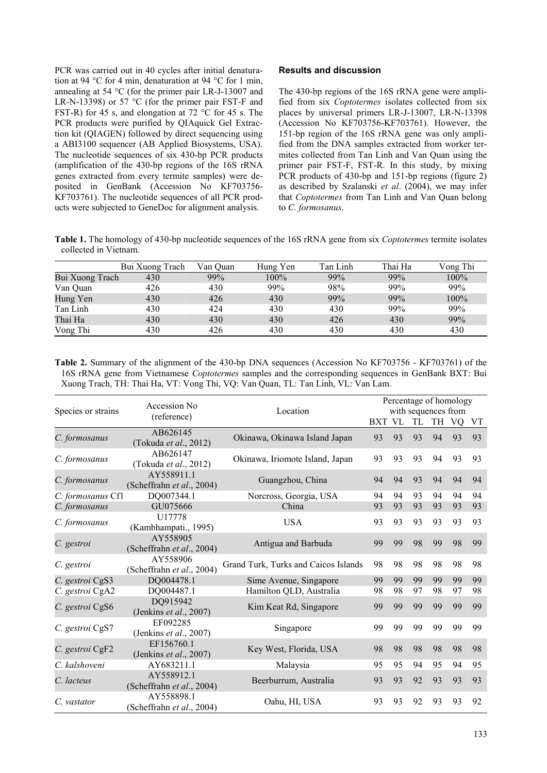PCR was carried out in 40 cycles after initial denaturation at 94 °C for 4 min, denaturation at 94 °C for 1 min, annealing at 54 °C (for the primer pair LR-J-13007 and LR-N-13398) or 57 °C (for the primer pair FST-F and FST-R) for 45 s, and elongation at 72 °C for 45 s. The PCR products were purified by QIAquick Gel Extraction kit (QIAGEN) followed by direct sequencing using a ABI3100 sequencer (AB Applied Biosystems, USA). The nucleotide sequences of six 430-bp PCR products (amplification of the 430-bp regions of the 16S rRNA genes extracted from every termite samples) were deposited in GenBank (Accession No KF703756- KF703761). The nucleotide sequences of all PCR products were subjected to GeneDoc for alignment analysis.

### **Results and discussion**

The 430-bp regions of the 16S rRNA gene were amplified from six *Coptotermes* isolates collected from six places by universal primers LR-J-13007, LR-N-13398 (Accession No KF703756-KF703761). However, the 151-bp region of the 16S rRNA gene was only amplified from the DNA samples extracted from worker termites collected from Tan Linh and Van Quan using the primer pair FST-F, FST-R. In this study, by mixing PCR products of 430-bp and 151-bp regions (figure 2) as described by Szalanski *et al*. (2004), we may infer that *Coptotermes* from Tan Linh and Van Quan belong to *C. formosanus*.

**Table 1.** The homology of 430-bp nucleotide sequences of the 16S rRNA gene from six *Coptotermes* termite isolates collected in Vietnam.

|                 | Bui Xuong Trach | Van Ouan | Hung Yen | Tan Linh | Thai Ha | Vong Thi |
|-----------------|-----------------|----------|----------|----------|---------|----------|
| Bui Xuong Trach | 430             | 99%      | $100\%$  | 99%      | 99%     | 100%     |
| Van Ouan        | 426             | 430      | 99%      | 98%      | 99%     | 99%      |
| Hung Yen        | 430             | 426      | 430      | 99%      | 99%     | 100%     |
| Tan Linh        | 430             | 424      | 430      | 430      | 99%     | 99%      |
| Thai Ha         | 430             | 430      | 430      | 426      | 430     | 99%      |
| Vong Thi        | 430             | 426      | 430      | 430      | 430     | 430      |

**Table 2.** Summary of the alignment of the 430-bp DNA sequences (Accession No KF703756 - KF703761) of the 16S rRNA gene from Vietnamese *Coptotermes* samples and the corresponding sequences in GenBank BXT: Bui Xuong Trach, TH: Thai Ha, VT: Vong Thi, VQ: Van Quan, TL: Tan Linh, VL: Van Lam.

|                    | Accession No                            |                                      | Percentage of homology<br>with sequences from |    |    |    |     |    |
|--------------------|-----------------------------------------|--------------------------------------|-----------------------------------------------|----|----|----|-----|----|
| Species or strains | (reference)                             | Location                             | <b>BXT VL</b>                                 |    | TL | TH | VQ. | VT |
| C. formosanus      | AB626145<br>(Tokuda et al., 2012)       | Okinawa, Okinawa Island Japan        | 93                                            | 93 | 93 | 94 | 93  | 93 |
| C. formosanus      | AB626147<br>(Tokuda et al., 2012)       | Okinawa, Iriomote Island, Japan      | 93                                            | 93 | 93 | 94 | 93  | 93 |
| C. formosanus      | AY558911.1<br>(Scheffrahn et al., 2004) | Guangzhou, China                     | 94                                            | 94 | 93 | 94 | 94  | 94 |
| C. formosanus Cf1  | DQ007344.1                              | Norcross, Georgia, USA               | 94                                            | 94 | 93 | 94 | 94  | 94 |
| C. formosanus      | GU075666                                | China                                | 93                                            | 93 | 93 | 93 | 93  | 93 |
| C. formosanus      | U17778<br>(Kambhampati., 1995)          | <b>USA</b>                           | 93                                            | 93 | 93 | 93 | 93  | 93 |
| C. gestroi         | AY558905<br>(Scheffrahn et al., 2004)   | Antigua and Barbuda                  | 99                                            | 99 | 98 | 99 | 98  | 99 |
| C. gestroi         | AY558906<br>(Scheffrahn et al., 2004)   | Grand Turk, Turks and Caicos Islands | 98                                            | 98 | 98 | 98 | 98  | 98 |
| C. gestroi CgS3    | DQ004478.1                              | Sime Avenue, Singapore               | 99                                            | 99 | 99 | 99 | 99  | 99 |
| C. gestroi CgA2    | DQ004487.1                              | Hamilton QLD, Australia              | 98                                            | 98 | 97 | 98 | 97  | 98 |
| C. gestroi CgS6    | DQ915942<br>(Jenkins et al., 2007)      | Kim Keat Rd, Singapore               | 99                                            | 99 | 99 | 99 | 99  | 99 |
| C. gestroi CgS7    | EF092285<br>(Jenkins et al., 2007)      | Singapore                            | 99                                            | 99 | 99 | 99 | 99  | 99 |
| C. gestroi CgF2    | EF156760.1<br>(Jenkins $et al., 2007$ ) | Key West, Florida, USA               | 98                                            | 98 | 98 | 98 | 98  | 98 |
| C. kalshoveni      | AY683211.1                              | Malaysia                             | 95                                            | 95 | 94 | 95 | 94  | 95 |
| C. lacteus         | AY558912.1<br>(Scheffrahn et al., 2004) | Beerburrum, Australia                | 93                                            | 93 | 92 | 93 | 93  | 93 |
| C. vastator        | AY558898.1<br>(Scheffrahn et al., 2004) | Oahu, HI, USA                        | 93                                            | 93 | 92 | 93 | 93  | 92 |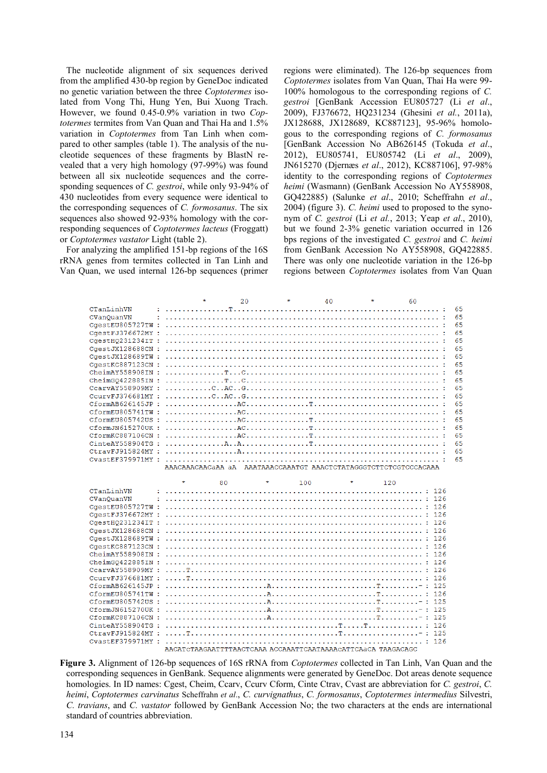The nucleotide alignment of six sequences derived from the amplified 430-bp region by GeneDoc indicated no genetic variation between the three *Coptotermes* isolated from Vong Thi, Hung Yen, Bui Xuong Trach. However, we found 0.45-0.9% variation in two *Coptotermes* termites from Van Quan and Thai Ha and 1.5% variation in *Coptotermes* from Tan Linh when compared to other samples (table 1). The analysis of the nucleotide sequences of these fragments by BlastN revealed that a very high homology (97-99%) was found between all six nucleotide sequences and the corresponding sequences of *C. gestroi*, while only 93-94% of 430 nucleotides from every sequence were identical to the corresponding sequences of *C. formosanus*. The six sequences also showed 92-93% homology with the corresponding sequences of *Coptotermes lacteus* (Froggatt) or *Coptotermes vastator* Light (table 2).

For analyzing the amplified 151-bp regions of the 16S rRNA genes from termites collected in Tan Linh and Van Quan, we used internal 126-bp sequences (primer regions were eliminated). The 126-bp sequences from *Coptotermes* isolates from Van Quan, Thai Ha were 99- 100% homologous to the corresponding regions of *C. gestroi* [GenBank Accession EU805727 (Li *et al*., 2009), FJ376672, HQ231234 (Ghesini *et al.*, 2011a), JX128688, JX128689, KC887123], 95-96% homologous to the corresponding regions of *C. formosanus* [GenBank Accession No AB626145 (Tokuda *et al*., 2012), EU805741, EU805742 (Li *et al*., 2009), JN615270 (Djernæs *et al*., 2012), KC887106], 97-98% identity to the corresponding regions of *Coptotermes heimi* (Wasmann) (GenBank Accession No AY558908, GQ422885) (Salunke *et al*., 2010; Scheffrahn *et al*., 2004) (figure 3). *C. heimi* used to proposed to the synonym of *C. gestroi* (Li *et al.*, 2013; Yeap *et al*., 2010), but we found 2-3% genetic variation occurred in 126 bps regions of the investigated *C. gestroi* and *C. heimi* from GenBank Accession No AY558908, GQ422885. There was only one nucleotide variation in the 126-bp regions between *Coptotermes* isolates from Van Quan

|                   | $\star$                                                                                                                                                               | $20^{\circ}$ | $\star$        | 40      | $\star$<br>60 |    |
|-------------------|-----------------------------------------------------------------------------------------------------------------------------------------------------------------------|--------------|----------------|---------|---------------|----|
| CTanLinhVN        |                                                                                                                                                                       |              |                |         |               | 65 |
| CVanQuanVN        |                                                                                                                                                                       |              |                |         |               | 65 |
|                   |                                                                                                                                                                       |              |                |         |               | 65 |
|                   |                                                                                                                                                                       |              |                |         |               | 65 |
| CgestHQ231234IT : |                                                                                                                                                                       |              |                |         |               | 65 |
| CgestJX128688CN:  |                                                                                                                                                                       |              |                |         |               | 65 |
| CgestJX128689TW : |                                                                                                                                                                       |              |                |         |               | 65 |
| CaestKC887123CN : |                                                                                                                                                                       |              |                |         |               | 65 |
|                   |                                                                                                                                                                       |              |                |         |               | 65 |
|                   |                                                                                                                                                                       |              |                |         |               | 65 |
|                   |                                                                                                                                                                       |              |                |         |               | 65 |
|                   |                                                                                                                                                                       |              |                |         |               | 65 |
| CformAB626145JP:  | $\ldots \ldots \ldots \ldots \mathbb{A} C \ldots \ldots \ldots \ldots \mathbb{T} \ldots \ldots \ldots \ldots \ldots \ldots \ldots \ldots \ldots \ldots \ldots \ldots$ |              |                |         |               | 65 |
|                   |                                                                                                                                                                       |              |                |         |               | 65 |
|                   |                                                                                                                                                                       |              |                |         |               | 65 |
| CformJN615270UK:  |                                                                                                                                                                       |              |                |         |               | 65 |
|                   |                                                                                                                                                                       |              |                |         |               | 65 |
|                   |                                                                                                                                                                       |              |                |         |               | 65 |
|                   |                                                                                                                                                                       |              |                |         |               | 65 |
|                   |                                                                                                                                                                       |              |                |         |               | 65 |
|                   | AAACAAACAACAAA aA AAATAAACCAAATGT AAACTCTATAGGGTCTTCTCGTCCCACAAA                                                                                                      |              |                |         |               |    |
|                   |                                                                                                                                                                       |              |                |         |               |    |
|                   | $\star$                                                                                                                                                               | 80           | $\star$<br>100 | $\star$ | 120           |    |
| CTanLinhVN        |                                                                                                                                                                       |              |                |         |               |    |
| CVanQuanVN        |                                                                                                                                                                       |              |                |         |               |    |
|                   |                                                                                                                                                                       |              |                |         |               |    |
|                   |                                                                                                                                                                       |              |                |         |               |    |
| CaestH0231234IT : |                                                                                                                                                                       |              |                |         |               |    |
|                   |                                                                                                                                                                       |              |                |         |               |    |
| CaestJX128689TW : |                                                                                                                                                                       |              |                |         |               |    |
| CaestKC887123CN : |                                                                                                                                                                       |              |                |         |               |    |
| CheimAY558908IN : |                                                                                                                                                                       |              |                |         |               |    |
|                   |                                                                                                                                                                       |              |                |         |               |    |
| CcarvAY558909MY:  |                                                                                                                                                                       |              |                |         |               |    |
|                   |                                                                                                                                                                       |              |                |         |               |    |
|                   |                                                                                                                                                                       |              |                |         |               |    |
| CformEU805741TW:  |                                                                                                                                                                       |              |                |         |               |    |
|                   |                                                                                                                                                                       |              |                |         |               |    |
|                   |                                                                                                                                                                       |              |                |         |               |    |
| CformKC887106CN:  |                                                                                                                                                                       |              |                |         |               |    |
|                   |                                                                                                                                                                       |              |                |         |               |    |
|                   |                                                                                                                                                                       |              |                |         |               |    |
|                   | AACATCTAAGAATTTTAACTCAAA ACCAAATTCAATAAAACATTCAaCA TAAGACAGC                                                                                                          |              |                |         |               |    |

**Figure 3.** Alignment of 126-bp sequences of 16S rRNA from *Coptotermes* collected in Tan Linh, Van Quan and the corresponding sequences in GenBank. Sequence alignments were generated by GeneDoc. Dot areas denote sequence homologies. In ID names: Cgest, Cheim, Ccarv, Ccurv Cform, Cinte Ctrav, Cvast are abbreviation for *C. gestroi*, *C. heimi*, *Coptotermes carvinatus* Scheffrahn *et al*., *C. curvignathus*, *C. formosanus*, *Coptotermes intermedius* Silvestri, *C. travians*, and *C. vastator* followed by GenBank Accession No; the two characters at the ends are international standard of countries abbreviation.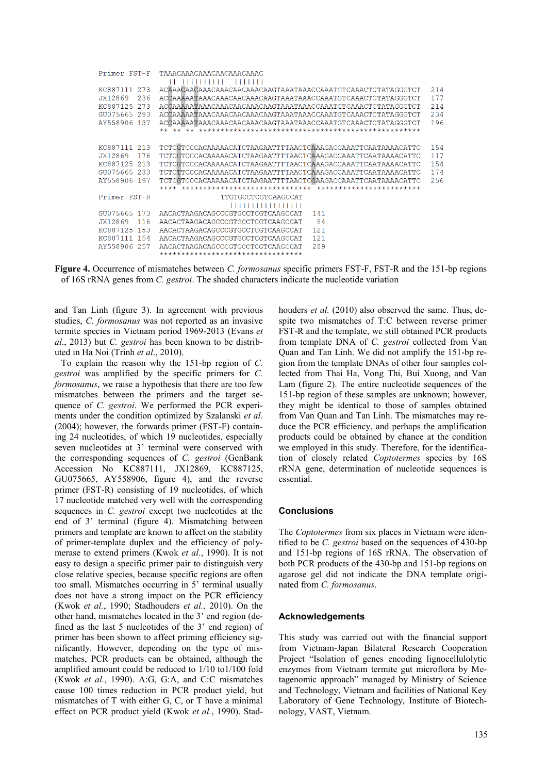| Primer FST-F     | TAAACAAACAAACAACAAACAAAC                                       |     |
|------------------|----------------------------------------------------------------|-----|
|                  | .                                                              |     |
| KC887111 273     | ACAAACAACAAACAACAACAACAACAAGTAAATAAACCAAATGTCAAACTCTATAGGGTCT  | 214 |
| JX12869<br>236   | ACCAAAAAAAAAAAAAAAACAAAACAAACAAATAAAACCAAATGTCAAACTCTATAGGGTCT | 177 |
| 273<br>KC887125  | ACCAAAAAATAAACAAACAACAAACAAGTAAATAAACCAAATGTCAAACTCTATAGGGTCT  | 214 |
| GU075665 293     |                                                                | 234 |
| AY558906 137     |                                                                | 196 |
|                  |                                                                |     |
|                  |                                                                |     |
| KC887111 213     | TCTCGTCCCACAAAAACATCTAAGAATTTTAACTCAAAGACCAAATTCAATAAAACATTC   | 154 |
| JX12869<br>176   | TCTCGTCCCACAAAAACATCTAAGAATTTTAACTCAAAGACCAAATTCAATAAAACATTC   | 117 |
| KC887125<br>-213 | TCTCGTCCCACAAAAACATCTAAGAATTTTAACTCAAAGACCAAATTCAATAAAACATTC   | 154 |
| GU075665 233     | TCTCTTCCCACAAAAACATCTAAGAATTTTAACTCAAAGACCAAATTCAATAAAACATTC   | 174 |
| AY558906<br>197  | TCTCGTCCCACAAAAACATCTAAGAATTTTAACTCGAAGACCAAATTCAATAAAACATTC   | 256 |
|                  |                                                                |     |
| Primer FST-R     | TTGTGCCTCGTCAAGCCAT                                            |     |
|                  | ,,,,,,,,,,,,,,,,                                               |     |
| 173<br>GU075665  | 141<br>AACACTAAGACAGCCCGTGCCTCGTCAAGCCAT                       |     |
| JX12869<br>116   | 84<br>AACACTAAGACAGCCCGTGCCTCGTCAAGCCAT                        |     |
| KC887125<br>1.53 | 121<br>AACACTAAGACAGCCCGTGCCTCGTCAAGCCAT                       |     |
| KC887111 154     | 121<br>AACACTAAGACAGCCCGTGCCTCGTCAAGCCAT                       |     |
| AY558906<br>257  | 289<br>AACACTAAGACAGCCCGTGCCTCGTCAAGCCAT                       |     |
|                  | **********************************                             |     |

**Figure 4.** Occurrence of mismatches between *C. formosanus* specific primers FST-F, FST-R and the 151-bp regions of 16S rRNA genes from *C. gestroi*. The shaded characters indicate the nucleotide variation

and Tan Linh (figure 3). In agreement with previous studies, *C. formosanus* was not reported as an invasive termite species in Vietnam period 1969-2013 (Evans *et al*., 2013) but *C. gestroi* has been known to be distributed in Ha Noi (Trinh *et al*., 2010).

To explain the reason why the 151-bp region of *C. gestroi* was amplified by the specific primers for *C. formosanus*, we raise a hypothesis that there are too few mismatches between the primers and the target sequence of *C. gestroi*. We performed the PCR experiments under the condition optimized by Szalanski *et al*. (2004); however, the forwards primer (FST-F) containing 24 nucleotides, of which 19 nucleotides, especially seven nucleotides at 3' terminal were conserved with the corresponding sequences of *C. gestroi* (GenBank Accession No KC887111, JX12869, KC887125, GU075665, AY558906, figure 4), and the reverse primer (FST-R) consisting of 19 nucleotides, of which 17 nucleotide matched very well with the corresponding sequences in *C. gestroi* except two nucleotides at the end of 3' terminal (figure 4). Mismatching between primers and template are known to affect on the stability of primer-template duplex and the efficiency of polymerase to extend primers (Kwok *et al.*, 1990). It is not easy to design a specific primer pair to distinguish very close relative species, because specific regions are often too small. Mismatches occurring in 5' terminal usually does not have a strong impact on the PCR efficiency (Kwok *et al.*, 1990; Stadhouders *et al.*, 2010). On the other hand, mismatches located in the 3' end region (defined as the last 5 nucleotides of the 3' end region) of primer has been shown to affect priming efficiency significantly. However, depending on the type of mismatches, PCR products can be obtained, although the amplified amount could be reduced to 1/10 to1/100 fold (Kwok *et al.*, 1990). A:G, G:A, and C:C mismatches cause 100 times reduction in PCR product yield, but mismatches of T with either G, C, or T have a minimal effect on PCR product yield (Kwok *et al.*, 1990). Stadhouders *et al.* (2010) also observed the same. Thus, despite two mismatches of T:C between reverse primer FST-R and the template, we still obtained PCR products from template DNA of *C. gestroi* collected from Van Quan and Tan Linh. We did not amplify the 151-bp region from the template DNAs of other four samples collected from Thai Ha, Vong Thi, Bui Xuong, and Van Lam (figure 2). The entire nucleotide sequences of the 151-bp region of these samples are unknown; however, they might be identical to those of samples obtained from Van Quan and Tan Linh. The mismatches may reduce the PCR efficiency, and perhaps the amplification products could be obtained by chance at the condition we employed in this study. Therefore, for the identification of closely related *Coptotermes* species by 16S rRNA gene, determination of nucleotide sequences is essential.

#### **Conclusions**

The *Coptotermes* from six places in Vietnam were identified to be *C. gestroi* based on the sequences of 430-bp and 151-bp regions of 16S rRNA. The observation of both PCR products of the 430-bp and 151-bp regions on agarose gel did not indicate the DNA template originated from *C. formosanus*.

## **Acknowledgements**

This study was carried out with the financial support from Vietnam-Japan Bilateral Research Cooperation Project "Isolation of genes encoding lignocellulolytic enzymes from Vietnam termite gut microflora by Metagenomic approach" managed by Ministry of Science and Technology, Vietnam and facilities of National Key Laboratory of Gene Technology, Institute of Biotechnology, VAST, Vietnam.